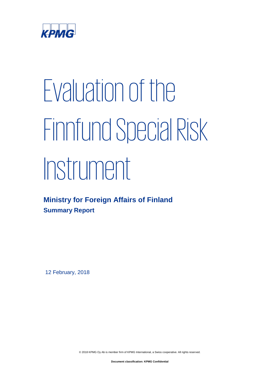

# Evaluation of the Finnfund Special Risk Instrument

# **Ministry for Foreign Affairs of Finland Summary Report**

12 February, 2018

© 2018 KPMG Oy Ab is member firm of KPMG International, a Swiss cooperative. All rights reserved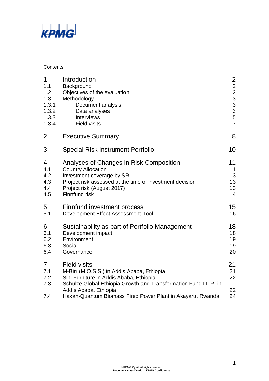

#### **Contents**

| $\mathbf 1$<br>1.1<br>1.2<br>1.3<br>1.3.1<br>1.3.2<br>1.3.3<br>1.3.4 | Introduction<br>Background<br>Objectives of the evaluation<br>Methodology<br>Document analysis<br>Data analyses<br><b>Interviews</b><br><b>Field visits</b>                                                   | $\overline{2}$<br>2233357        |
|----------------------------------------------------------------------|---------------------------------------------------------------------------------------------------------------------------------------------------------------------------------------------------------------|----------------------------------|
| $\overline{2}$                                                       | <b>Executive Summary</b>                                                                                                                                                                                      | 8                                |
| 3                                                                    | <b>Special Risk Instrument Portfolio</b>                                                                                                                                                                      | 10                               |
| 4<br>4.1<br>4.2<br>4.3<br>4.4<br>4.5                                 | Analyses of Changes in Risk Composition<br><b>Country Allocation</b><br>Investment coverage by SRI<br>Project risk assessed at the time of investment decision<br>Project risk (August 2017)<br>Finnfund risk | 11<br>11<br>13<br>13<br>13<br>14 |
| 5<br>5.1                                                             | Finnfund investment process<br>Development Effect Assessment Tool                                                                                                                                             | 15<br>16                         |
| 6<br>6.1<br>6.2<br>6.3<br>6.4                                        | Sustainability as part of Portfolio Management<br>Development impact<br>Environment<br>Social<br>Governance                                                                                                   | 18<br>18<br>19<br>19<br>20       |
| $\overline{7}$<br>7.1<br>7.2<br>7.3                                  | <b>Field visits</b><br>M-Birr (M.O.S.S.) in Addis Ababa, Ethiopia<br>Sini Furniture in Addis Ababa, Ethiopia<br>Schulze Global Ethiopia Growth and Transformation Fund I L.P. in<br>Addis Ababa, Ethiopia     | 21<br>21<br>22<br>22             |
| 7.4                                                                  | Hakan-Quantum Biomass Fired Power Plant in Akayaru, Rwanda                                                                                                                                                    | 24                               |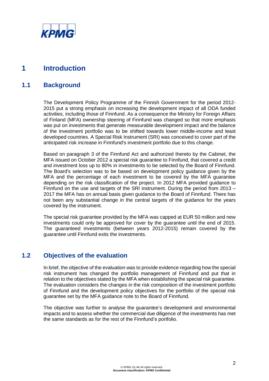

# **1 Introduction**

# **1.1 Background**

The Development Policy Programme of the Finnish Government for the period 2012- 2015 put a strong emphasis on increasing the development impact of all ODA funded activities, including those of Finnfund. As a consequence the Ministry for Foreign Affairs of Finland (MFA) ownership steering of Finnfund was changed so that more emphasis was put on investments that generate measurable development impact and the balance of the investment portfolio was to be shifted towards lower middle-income and least developed countries. A Special Risk Instrument (SRI) was conceived to cover part of the anticipated risk increase in Finnfund's investment portfolio due to this change.

Based on paragraph 3 of the Finnfund Act and authorized thereto by the Cabinet, the MFA issued on October 2012 a special risk guarantee to Finnfund, that covered a credit and investment loss up to 80% in investments to be selected by the Board of Finnfund. The Board's selection was to be based on development policy guidance given by the MFA and the percentage of each investment to be covered by the MFA guarantee depending on the risk classification of the project. In 2012 MFA provided guidance to Finnfund on the use and targets of the SRI instrument. During the period from 2013 – 2017 the MFA has on annual basis given guidance to the Board of Finnfund. There has not been any substantial change in the central targets of the guidance for the years covered by the instrument.

The special risk guarantee provided by the MFA was capped at EUR 50 million and new investments could only be approved for cover by the guarantee until the end of 2015. The guaranteed investments (between years 2012-2015) remain covered by the guarantee until Finnfund exits the investments.

## **1.2 Objectives of the evaluation**

In brief, the objective of the evaluation was to provide evidence regarding how the special risk instrument has changed the portfolio management of Finnfund and put that in relation to the objectives stated by the MFA when establishing the special risk guarantee. The evaluation considers the changes in the risk composition of the investment portfolio of Finnfund and the development policy objectives for the portfolio of the special risk guarantee set by the MFA guidance note to the Board of Finnfund.

The objective was further to analyse the guarantee's development and environmental impacts and to assess whether the commercial due diligence of the investments has met the same standards as for the rest of the Finnfund's portfolio.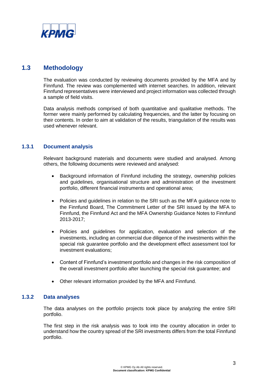

# **1.3 Methodology**

The evaluation was conducted by reviewing documents provided by the MFA and by Finnfund. The review was complemented with internet searches. In addition, relevant Finnfund representatives were interviewed and project information was collected through a sample of field visits.

Data analysis methods comprised of both quantitative and qualitative methods. The former were mainly performed by calculating frequencies, and the latter by focusing on their contents. In order to aim at validation of the results, triangulation of the results was used whenever relevant.

## **1.3.1 Document analysis**

Relevant background materials and documents were studied and analysed. Among others, the following documents were reviewed and analysed:

- Background information of Finnfund including the strategy, ownership policies and guidelines, organisational structure and administration of the investment portfolio, different financial instruments and operational area;
- Policies and guidelines in relation to the SRI such as the MFA guidance note to the Finnfund Board, The Commitment Letter of the SRI issued by the MFA to Finnfund, the Finnfund Act and the MFA Ownership Guidance Notes to Finnfund 2013-2017;
- Policies and guidelines for application, evaluation and selection of the investments, including an commercial due diligence of the investments within the special risk guarantee portfolio and the development effect assessment tool for investment evaluations;
- Content of Finnfund's investment portfolio and changes in the risk composition of the overall investment portfolio after launching the special risk guarantee; and
- Other relevant information provided by the MFA and Finnfund.

## **1.3.2 Data analyses**

The data analyses on the portfolio projects took place by analyzing the entire SRI portfolio.

The first step in the risk analysis was to look into the country allocation in order to understand how the country spread of the SRI investments differs from the total Finnfund portfolio.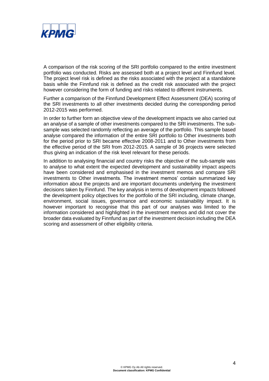

A comparison of the risk scoring of the SRI portfolio compared to the entire investment portfolio was conducted. Risks are assessed both at a project level and Finnfund level. The project level risk is defined as the risks associated with the project at a standalone basis while the Finnfund risk is defined as the credit risk associated with the project however considering the form of funding and risks related to different instruments.

Further a comparison of the Finnfund Development Effect Assessment (DEA) scoring of the SRI investments to all other investments decided during the corresponding period 2012-2015 was performed.

In order to further form an objective view of the development impacts we also carried out an analyse of a sample of other investments compared to the SRI investments. The subsample was selected randomly reflecting an average of the portfolio. This sample based analyse compared the information of the entire SRI portfolio to Other investments both for the period prior to SRI became effective 2008-2011 and to Other investments from the effective period of the SRI from 2012-2015. A sample of 36 projects were selected thus giving an indication of the risk level relevant for these periods.

In addition to analysing financial and country risks the objective of the sub-sample was to analyse to what extent the expected development and sustainability impact aspects have been considered and emphasised in the investment memos and compare SRI investments to Other investments. The investment memos' contain summarized key information about the projects and are important documents underlying the investment decisions taken by Finnfund. The key analysis in terms of development impacts followed the development policy objectives for the portfolio of the SRI including, climate change, environment, social issues, governance and economic sustainability impact. It is however important to recognise that this part of our analyses was limited to the information considered and highlighted in the investment memos and did not cover the broader data evaluated by Finnfund as part of the investment decision including the DEA scoring and assessment of other eligibility criteria.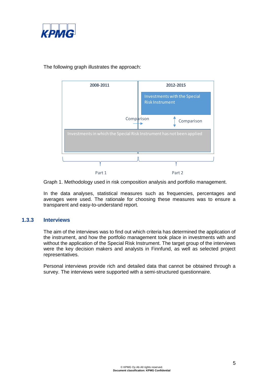



The following graph illustrates the approach:

Graph 1. Methodology used in risk composition analysis and portfolio management.

In the data analyses, statistical measures such as frequencies, percentages and averages were used. The rationale for choosing these measures was to ensure a transparent and easy-to-understand report.

#### **1.3.3 Interviews**

The aim of the interviews was to find out which criteria has determined the application of the instrument, and how the portfolio management took place in investments with and without the application of the Special Risk Instrument. The target group of the interviews were the key decision makers and analysts in Finnfund, as well as selected project representatives.

Personal interviews provide rich and detailed data that cannot be obtained through a survey. The interviews were supported with a semi-structured questionnaire.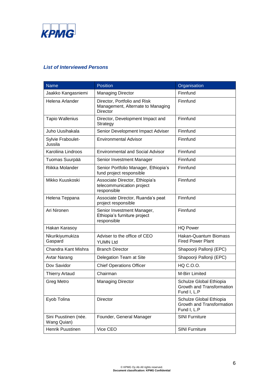

#### *List of Interviewed Persons*

| <b>Name</b>                         | <b>Position</b>                                                                      | Organisation                                                        |  |
|-------------------------------------|--------------------------------------------------------------------------------------|---------------------------------------------------------------------|--|
| Jaakko Kangasniemi                  | <b>Managing Director</b>                                                             | Finnfund                                                            |  |
| Helena Arlander                     | Director, Portfolio and Risk<br>Management, Alternate to Managing<br><b>Director</b> | Finnfund                                                            |  |
| <b>Tapio Wallenius</b>              | Director, Development Impact and<br>Strategy                                         | Finnfund                                                            |  |
| Juho Uusihakala                     | Senior Development Impact Adviser                                                    | Finnfund                                                            |  |
| Sylvie Fraboulet-<br>Jussila        | <b>Environmental Advisor</b>                                                         | Finnfund                                                            |  |
| Karoliina Lindroos                  | <b>Environmental and Social Advisor</b>                                              | Finnfund                                                            |  |
| Tuomas Suurpää                      | Senior Investment Manager                                                            | Finnfund                                                            |  |
| Riikka Molander                     | Senior Portfolio Manager, Ethiopia's<br>fund project responsible                     | Finnfund                                                            |  |
| Mikko Kuuskoski                     | Associate Director, Ethiopia's<br>telecommunication project<br>responsible           | Finnfund                                                            |  |
| Helena Teppana                      | Associate Director, Ruanda's peat<br>project responsible                             | Finnfund                                                            |  |
| Ari Nironen                         | Senior Investment Manager,<br>Ethiopia's furniture project<br>responsible            | Finnfund                                                            |  |
| Hakan Karasoy                       |                                                                                      | <b>HQ Power</b>                                                     |  |
| Nkurikiyumukiza<br>Gaspard          | Adviser to the office of CEO<br><b>YUMN Ltd</b>                                      | Hakan-Quantum Biomass<br><b>Fired Power Plant</b>                   |  |
| Chandra Kant Mishra                 | <b>Branch Director</b>                                                               | Shapoorji Pallonji (EPC)                                            |  |
| <b>Avtar Narang</b>                 | Delegation Team at Site                                                              | Shapoorji Pallonji (EPC)                                            |  |
| Dov Savidor                         | <b>Chief Operations Officer</b>                                                      | HQ C.O.O.                                                           |  |
| <b>Thierry Artaud</b>               | Chairman                                                                             | <b>M-Birr Limited</b>                                               |  |
| Greg Metro                          | <b>Managing Director</b>                                                             | Schulze Global Ethiopia<br>Growth and Transformation<br>Fund I, L.P |  |
| Eyob Tolina                         | Director                                                                             | Schulze Global Ethiopia<br>Growth and Transformation<br>Fund I, L.P |  |
| Sini Puustinen (née.<br>Wang Quian) | Founder, General Manager                                                             | <b>SINI Furniture</b>                                               |  |
| Henrik Puustinen                    | Vice CEO                                                                             | <b>SINI Furniture</b>                                               |  |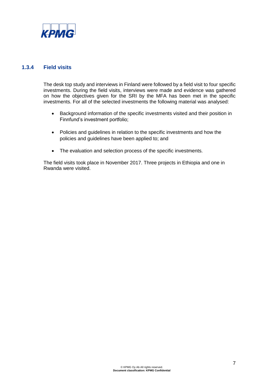

## **1.3.4 Field visits**

The desk top study and interviews in Finland were followed by a field visit to four specific investments. During the field visits, interviews were made and evidence was gathered on how the objectives given for the SRI by the MFA has been met in the specific investments. For all of the selected investments the following material was analysed:

- Background information of the specific investments visited and their position in Finnfund's investment portfolio;
- Policies and guidelines in relation to the specific investments and how the policies and guidelines have been applied to; and
- The evaluation and selection process of the specific investments.

The field visits took place in November 2017. Three projects in Ethiopia and one in Rwanda were visited.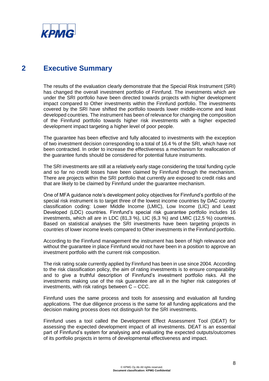

# **2 Executive Summary**

The results of the evaluation clearly demonstrate that the Special Risk Instrument (SRI) has changed the overall investment portfolio of Finnfund. The investments which are under the SRI portfolio have been directed towards projects with higher development impact compared to Other investments within the Finnfund portfolio. The investments covered by the SRI have shifted the portfolio towards lower middle-income and least developed countries. The instrument has been of relevance for changing the composition of the Finnfund portfolio towards higher risk investments with a higher expected development impact targeting a higher level of poor people.

The guarantee has been effective and fully allocated to investments with the exception of two investment decision corresponding to a total of 16.4 % of the SRI, which have not been contracted. In order to increase the effectiveness a mechanism for reallocation of the guarantee funds should be considered for potential future instruments.

The SRI investments are still at a relatively early stage considering the total funding cycle and so far no credit losses have been claimed by Finnfund through the mechanism. There are projects within the SRI portfolio that currently are exposed to credit risks and that are likely to be claimed by Finnfund under the guarantee mechanism.

One of MFA guidance note's development policy objectives for Finnfund's portfolio of the special risk instrument is to target three of the lowest income countries by DAC country classification coding: Lower Middle Income (LMIC), Low Income (LIC) and Least Developed (LDC) countries. Finnfund's special risk guarantee portfolio includes 16 investments, which all are in LDC (81,3 %), LIC (6,3 %) and LMIC (12,5 %) countries. Based on statistical analyses the SRI investments have been targeting projects in countries of lower income levels compared to Other investments in the Finnfund portfolio.

According to the Finnfund management the instrument has been of high relevance and without the guarantee in place Finnfund would not have been in a position to approve an investment portfolio with the current risk composition.

The risk rating scale currently applied by Finnfund has been in use since 2004. According to the risk classification policy, the aim of rating investments is to ensure comparability and to give a truthful description of Finnfund's investment portfolio risks. All the investments making use of the risk guarantee are all in the higher risk categories of investments, with risk ratings between C – CCC.

Finnfund uses the same process and tools for assessing and evaluation all funding applications. The due diligence process is the same for all funding applications and the decision making process does not distinguish for the SRI investments.

Finnfund uses a tool called the Development Effect Assessment Tool (DEAT) for assessing the expected development impact of all investments. DEAT is an essential part of Finnfund's system for analysing and evaluating the expected outputs/outcomes of its portfolio projects in terms of developmental effectiveness and impact.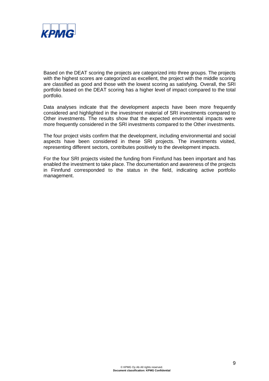

Based on the DEAT scoring the projects are categorized into three groups. The projects with the highest scores are categorized as excellent, the project with the middle scoring are classified as good and those with the lowest scoring as satisfying. Overall, the SRI portfolio based on the DEAT scoring has a higher level of impact compared to the total portfolio.

Data analyses indicate that the development aspects have been more frequently considered and highlighted in the investment material of SRI investments compared to Other investments. The results show that the expected environmental impacts were more frequently considered in the SRI investments compared to the Other investments.

The four project visits confirm that the development, including environmental and social aspects have been considered in these SRI projects. The investments visited, representing different sectors, contributes positively to the development impacts.

For the four SRI projects visited the funding from Finnfund has been important and has enabled the investment to take place. The documentation and awareness of the projects in Finnfund corresponded to the status in the field, indicating active portfolio management.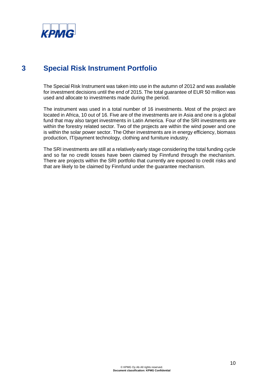

# **3 Special Risk Instrument Portfolio**

The Special Risk Instrument was taken into use in the autumn of 2012 and was available for investment decisions until the end of 2015. The total guarantee of EUR 50 million was used and allocate to investments made during the period.

The instrument was used in a total number of 16 investments. Most of the project are located in Africa, 10 out of 16. Five are of the investments are in Asia and one is a global fund that may also target investments in Latin America. Four of the SRI investments are within the forestry related sector. Two of the projects are within the wind power and one is within the solar power sector. The Other investments are in energy efficiency, biomass production, IT/payment technology, clothing and furniture industry.

The SRI investments are still at a relatively early stage considering the total funding cycle and so far no credit losses have been claimed by Finnfund through the mechanism. There are projects within the SRI portfolio that currently are exposed to credit risks and that are likely to be claimed by Finnfund under the guarantee mechanism.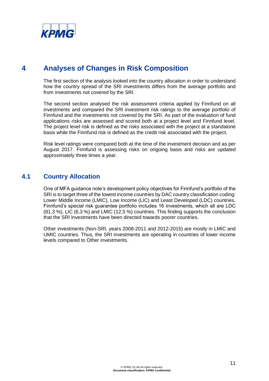

# **4 Analyses of Changes in Risk Composition**

The first section of the analysis looked into the country allocation in order to understand how the country spread of the SRI investments differs from the average portfolio and from investments not covered by the SRI.

The second section analysed the risk assessment criteria applied by Finnfund on all investments and compared the SRI investment risk ratings to the average portfolio of Finnfund and the investments not covered by the SRI. As part of the evaluation of fund applications risks are assessed and scored both at a project level and Finnfund level. The project level risk is defined as the risks associated with the project at a standalone basis while the Finnfund risk is defined as the credit risk associated with the project.

Risk level ratings were compared both at the time of the investment decision and as per August 2017. Finnfund is assessing risks on ongoing basis and risks are updated approximately three times a year.

# **4.1 Country Allocation**

One of MFA guidance note's development policy objectives for Finnfund's portfolio of the SRI is to target three of the lowest income countries by DAC country classification coding: Lower Middle Income (LMIC), Low Income (LIC) and Least Developed (LDC) countries. Finnfund's special risk guarantee portfolio includes 16 investments, which all are LDC (81,3 %), LIC (6,3 %) and LMIC (12,5 %) countries. This finding supports the conclusion that the SRI investments have been directed towards poorer countries.

Other investments (Non-SRI, years 2008-2011 and 2012-2015) are mostly in LMIC and UMIC countries. Thus, the SRI investments are operating in countries of lower income levels compared to Other investments.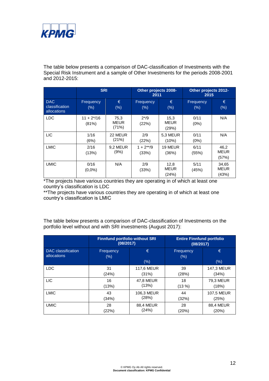

The table below presents a comparison of DAC-classification of Investments with the Special Risk Instrument and a sample of Other Investments for the periods 2008-2001 and 2012-2015:

|                                             | <b>SRI</b>            |                              | Other projects 2008-<br>2011 |                              | Other projects 2012-<br>2015 |                               |
|---------------------------------------------|-----------------------|------------------------------|------------------------------|------------------------------|------------------------------|-------------------------------|
| <b>DAC</b><br>classification<br>allocations | Frequency<br>(%)      | €<br>(%)                     | Frequency<br>$(\%)$          | €<br>(%)                     | Frequency<br>(%)             | €<br>(%)                      |
| <b>LDC</b>                                  | $11 + 2*/16$<br>(81%) | 75,3<br><b>MEUR</b><br>(71%) | $2^{*/9}$<br>(22%)           | 15,3<br><b>MEUR</b><br>(29%) | 0/11<br>$(0\%)$              | N/A                           |
| <b>LIC</b>                                  | 1/16<br>(6%)          | 22 MEUR<br>(21%)             | 2/9<br>(22%)                 | <b>5.3 MEUR</b><br>(10%)     | 0/11<br>(0%)                 | N/A                           |
| <b>LMIC</b>                                 | 2/16<br>(13%)         | 9,2 MEUR<br>(9%)             | $1 + 2**/9$<br>(33%)         | 19 MEUR<br>(36%)             | 6/11<br>(55%)                | 46,2<br><b>MEUR</b><br>(57%)  |
| <b>UMIC</b>                                 | 0/16<br>$(0,0\%)$     | N/A                          | 2/9<br>(33%)                 | 12,8<br><b>MEUR</b><br>(24%) | 5/11<br>(45%)                | 34,65<br><b>MEUR</b><br>(43%) |

\*The projects have various countries they are operating in of which at least one country's classification is LDC

\*\*The projects have various countries they are operating in of which at least one country's classification is LMIC

The table below presents a comparison of DAC-classification of Investments on the portfolio level without and with SRI investments (August 2017):

|                    | <b>Finnfund portfolio without SRI</b><br>(08/2017) |                   | <b>Entire Finnfund portfolio</b><br>(08/2017) |                  |  |
|--------------------|----------------------------------------------------|-------------------|-----------------------------------------------|------------------|--|
| DAC classification | Frequency                                          | €                 | Frequency                                     | €                |  |
| allocations        | $(\%)$                                             | (% )              | (%)                                           | (% )             |  |
| <b>LDC</b>         | 31                                                 | <b>117,6 MEUR</b> | 39                                            | 147,3 MEUR       |  |
|                    | (24%)                                              | (31%)             | (28%)                                         | (34%)            |  |
| <b>LIC</b>         | 16                                                 | <b>47.8 MEUR</b>  | 18                                            | 79.3 MEUR        |  |
|                    | (13%)                                              | (13%)             | (13%)                                         | (18%)            |  |
| <b>LMIC</b>        | 43                                                 | 106,3 MEUR        | 44                                            | 107,5 MEUR       |  |
|                    | (34%)                                              | (28%)             | (32%)                                         | (25%)            |  |
| <b>UMIC</b>        | 28                                                 | <b>88,4 MEUR</b>  | 28                                            | <b>88,4 MEUR</b> |  |
|                    | (22%)                                              | (24%)             | (20%)                                         | (20%)            |  |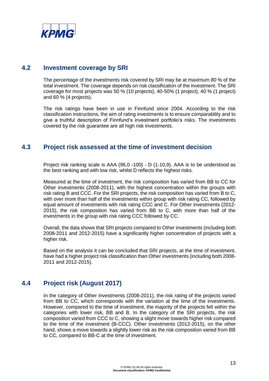

## **4.2 Investment coverage by SRI**

The percentage of the investments risk covered by SRI may be at maximum 80 % of the total investment. The coverage depends on risk classification of the investment. The SRI coverage for most projects was 50 % (10 projects), 40-50% (1 project), 40 % (1 project) and 60 % (4 projects).

The risk ratings have been in use in Finnfund since 2004. According to the risk classification instructions, the aim of rating investments is to ensure comparability and to give a truthful description of Finnfund's investment portfolio's risks. The investments covered by the risk guarantee are all high risk investments.

# **4.3 Project risk assessed at the time of investment decision**

Project risk ranking scale is AAA (96,0 -100) - D (1-10,9). AAA is to be understood as the best ranking and with low risk, whilst D reflects the highest risks.

Measured at the time of investment, the risk composition has varied from BB to CC for Other investments (2008-2011), with the highest concentration within the groups with risk rating B and CCC. For the SRI projects, the risk composition has varied from B to C, with over more than half of the investments within group with risk rating CC, followed by equal amount of investments with risk rating CCC and C. For Other investments (2012- 2015), the risk composition has varied from BB to C, with more than half of the investments in the group with risk rating CCC followed by CC.

Overall, the data shows that SRI projects compared to Other investments (including both 2008-2011 and 2012-2015) have a significantly higher concentration of projects with a higher risk.

Based on the analysis it can be concluded that SRI projects, at the time of investment, have had a higher project risk classification than Other investments (including both 2008- 2011 and 2012-2015).

# **4.4 Project risk (August 2017)**

In the category of Other investments (2008-2011), the risk rating of the projects varied from BB to CC, which corresponds with the variation at the time of the investments. However, compared to the time of investment, the majority of the projects fell within the categories with lower risk, BB and B. In the category of the SRI projects, the risk composition varied from CCC to C, showing a slight move towards higher risk compared to the time of the investment (B-CCC). Other investments (2012-2015), on the other hand, shows a move towards a slightly lower risk as the risk composition varied from BB to CC, compared to BB-C at the time of investment.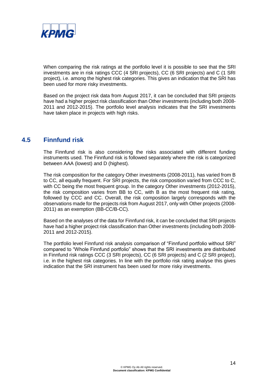

When comparing the risk ratings at the portfolio level it is possible to see that the SRI investments are in risk ratings CCC (4 SRI projects), CC (6 SRI projects) and C (1 SRI project), i.e. among the highest risk categories. This gives an indication that the SRI has been used for more risky investments.

Based on the project risk data from August 2017, it can be concluded that SRI projects have had a higher project risk classification than Other investments (including both 2008- 2011 and 2012-2015). The portfolio level analysis indicates that the SRI investments have taken place in projects with high risks.

## **4.5 Finnfund risk**

The Finnfund risk is also considering the risks associated with different funding instruments used. The Finnfund risk is followed separately where the risk is categorized between AAA (lowest) and D (highest).

The risk composition for the category Other investments (2008-2011), has varied from B to CC, all equally frequent. For SRI projects, the risk composition varied from CCC to C, with CC being the most frequent group. In the category Other investments (2012-2015), the risk composition varies from BB to CC, with B as the most frequent risk rating, followed by CCC and CC. Overall, the risk composition largely corresponds with the observations made for the projects risk from August 2017, only with Other projects (2008- 2011) as an exemption (BB-CC/B-CC).

Based on the analyses of the data for Finnfund risk, it can be concluded that SRI projects have had a higher project risk classification than Other investments (including both 2008- 2011 and 2012-2015).

The portfolio level Finnfund risk analysis comparison of "Finnfund portfolio without SRI" compared to "Whole Finnfund portfolio" shows that the SRI investments are distributed in Finnfund risk ratings CCC (3 SRI projects), CC (6 SRI projects) and C (2 SRI project), i.e. in the highest risk categories. In line with the portfolio risk rating analyse this gives indication that the SRI instrument has been used for more risky investments.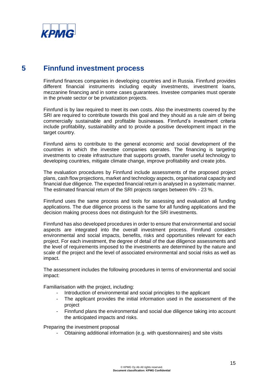

# **5 Finnfund investment process**

Finnfund finances companies in developing countries and in Russia. Finnfund provides different financial instruments including equity investments, investment loans, mezzanine financing and in some cases guarantees. Investee companies must operate in the private sector or be privatization projects.

Finnfund is by law required to meet its own costs. Also the investments covered by the SRI are required to contribute towards this goal and they should as a rule aim of being commercially sustainable and profitable businesses. Finnfund's investment criteria include profitability, sustainability and to provide a positive development impact in the target country.

Finnfund aims to contribute to the general economic and social development of the countries in which the investee companies operates. The financing is targeting investments to create infrastructure that supports growth, transfer useful technology to developing countries, mitigate climate change, improve profitability and create jobs.

The evaluation procedures by Finnfund include assessments of the proposed project plans, cash flow projections, market and technology aspects, organisational capacity and financial due diligence. The expected financial return is analysed in a systematic manner. The estimated financial return of the SRI projects ranges between 6% - 23 %.

Finnfund uses the same process and tools for assessing and evaluation all funding applications. The due diligence process is the same for all funding applications and the decision making process does not distinguish for the SRI investments.

Finnfund has also developed procedures in order to ensure that environmental and social aspects are integrated into the overall investment process. Finnfund considers environmental and social impacts, benefits, risks and opportunities relevant for each project. For each investment, the degree of detail of the due diligence assessments and the level of requirements imposed to the investments are determined by the nature and scale of the project and the level of associated environmental and social risks as well as impact.

The assessment includes the following procedures in terms of environmental and social impact:

Familiarisation with the project, including:

- Introduction of environmental and social principles to the applicant
- The applicant provides the initial information used in the assessment of the project
- Finnfund plans the environmental and social due diligence taking into account the anticipated impacts and risks.

Preparing the investment proposal

- Obtaining additional information (e.g. with questionnaires) and site visits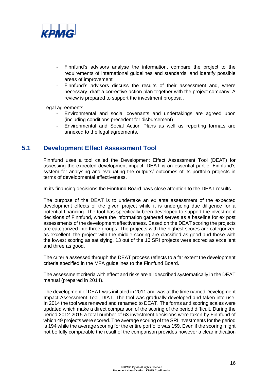

- Finnfund's advisors analyse the information, compare the project to the requirements of international guidelines and standards, and identify possible areas of improvement
- Finnfund's advisors discuss the results of their assessment and, where necessary, draft a corrective action plan together with the project company. A review is prepared to support the investment proposal.

Legal agreements

- Environmental and social covenants and undertakings are agreed upon (including conditions precedent for disbursement)
- Environmental and Social Action Plans as well as reporting formats are annexed to the legal agreements.

# **5.1 Development Effect Assessment Tool**

Finnfund uses a tool called the Development Effect Assessment Tool (DEAT) for assessing the expected development impact. DEAT is an essential part of Finnfund's system for analysing and evaluating the outputs/ outcomes of its portfolio projects in terms of developmental effectiveness.

In its financing decisions the Finnfund Board pays close attention to the DEAT results.

The purpose of the DEAT is to undertake an ex ante assessment of the expected development effects of the given project while it is undergoing due diligence for a potential financing. The tool has specifically been developed to support the investment decisions of Finnfund, where the information gathered serves as a baseline for ex post assessments of the development effectiveness. Based on the DEAT scoring the projects are categorized into three groups. The projects with the highest scores are categorized as excellent, the project with the middle scoring are classified as good and those with the lowest scoring as satisfying. 13 out of the 16 SRI projects were scored as excellent and three as good.

The criteria assessed through the DEAT process reflects to a far extent the development criteria specified in the MFA guidelines to the Finnfund Board.

The assessment criteria with effect and risks are all described systematically in the DEAT manual (prepared in 2014).

The development of DEAT was initiated in 2011 and was at the time named Development Impact Assessment Tool, DIAT. The tool was gradually developed and taken into use. In 2014 the tool was renewed and renamed to DEAT. The forms and scoring scales were updated which make a direct comparison of the scoring of the period difficult. During the period 2012-2015 a total number of 63 investment decisions were taken by Finnfund of which 49 projects were scored. The average scoring of the SRI investments for the period is 194 while the average scoring for the entire portfolio was 159. Even if the scoring might not be fully comparable the result of the comparison provides however a clear indication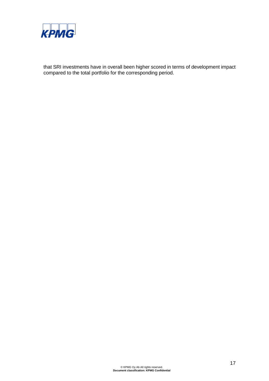

that SRI investments have in overall been higher scored in terms of development impact compared to the total portfolio for the corresponding period.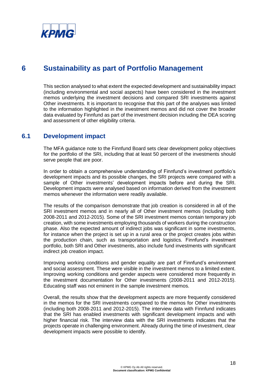

# **6 Sustainability as part of Portfolio Management**

This section analysed to what extent the expected development and sustainability impact (including environmental and social aspects) have been considered in the investment memos underlying the investment decisions and compared SRI investments against Other investments. It is important to recognise that this part of the analyses was limited to the information highlighted in the investment memos and did not cover the broader data evaluated by Finnfund as part of the investment decision including the DEA scoring and assessment of other eligibility criteria.

# **6.1 Development impact**

The MFA guidance note to the Finnfund Board sets clear development policy objectives for the portfolio of the SRI, including that at least 50 percent of the investments should serve people that are poor.

In order to obtain a comprehensive understanding of Finnfund's investment portfolio's development impacts and its possible changes, the SRI projects were compared with a sample of Other investments' development impacts before and during the SRI. Development impacts were analysed based on information derived from the investment memos whenever the information were readily available.

The results of the comparison demonstrate that job creation is considered in all of the SRI investment memos and in nearly all of Other investment memos (including both 2008-2011 and 2012-2015). Some of the SRI investment memos contain temporary job creation, with some investments employing thousands of workers during the construction phase. Also the expected amount of indirect jobs was significant in some investments, for instance when the project is set up in a rural area or the project creates jobs within the production chain, such as transportation and logistics. Finnfund's investment portfolio, both SRI and Other investments, also include fund investments with significant indirect job creation impact.

Improving working conditions and gender equality are part of Finnfund's environment and social assessment. These were visible in the investment memos to a limited extent. Improving working conditions and gender aspects were considered more frequently in the investment documentation for Other investments (2008-2011 and 2012-2015). Educating staff was not eminent in the sample investment memos.

Overall, the results show that the development aspects are more frequently considered in the memos for the SRI investments compared to the memos for Other investments (including both 2008-2011 and 2012-2015). The interview data with Finnfund indicates that the SRI has enabled investments with significant development impacts and with higher financial risk. The interview data with the SRI investments indicates that the projects operate in challenging environment. Already during the time of investment, clear development impacts were possible to identify.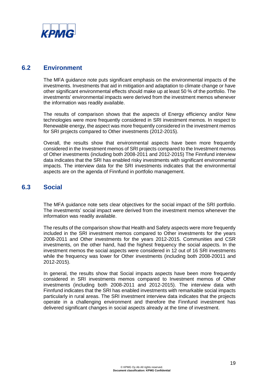

## **6.2 Environment**

The MFA guidance note puts significant emphasis on the environmental impacts of the investments. Investments that aid in mitigation and adaptation to climate change or have other significant environmental effects should make up at least 50 % of the portfolio. The investments' environmental impacts were derived from the investment memos whenever the information was readily available.

The results of comparison shows that the aspects of Energy efficiency and/or New technologies were more frequently considered in SRI investment memos. In respect to Renewable energy, the aspect was more frequently considered in the investment memos for SRI projects compared to Other investments (2012-2015).

Overall, the results show that environmental aspects have been more frequently considered in the Investment memos of SRI projects compared to the Investment memos of Other investments (including both 2008-2011 and 2012-2015) The Finnfund interview data indicates that the SRI has enabled risky investments with significant environmental impacts. The interview data for the SRI investments indicates that the environmental aspects are on the agenda of Finnfund in portfolio management.

## **6.3 Social**

The MFA guidance note sets clear objectives for the social impact of the SRI portfolio. The investments' social impact were derived from the investment memos whenever the information was readily available.

The results of the comparison show that Health and Safety aspects were more frequently included in the SRI investment memos compared to Other investments for the years 2008-2011 and Other investments for the years 2012-2015. Communities and CSR investments, on the other hand, had the highest frequency the social aspects. In the investment memos the social aspects were considered in 12 out of 16 SRI investments while the frequency was lower for Other investments (including both 2008-20011 and 2012-2015).

In general, the results show that Social impacts aspects have been more frequently considered in SRI investments memos compared to Investment memos of Other investments (including both 2008-2011 and 2012-2015). The interview data with Finnfund indicates that the SRI has enabled investments with remarkable social impacts particularly in rural areas. The SRI investment interview data indicates that the projects operate in a challenging environment and therefore the Finnfund investment has delivered significant changes in social aspects already at the time of investment.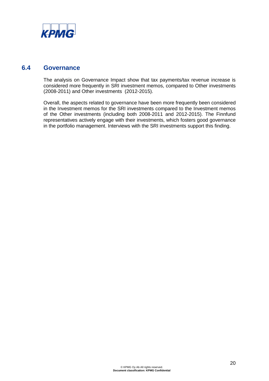

## **6.4 Governance**

The analysis on Governance Impact show that tax payments/tax revenue increase is considered more frequently in SRI investment memos, compared to Other investments (2008-2011) and Other investments (2012-2015).

Overall, the aspects related to governance have been more frequently been considered in the Investment memos for the SRI investments compared to the Investment memos of the Other investments (including both 2008-2011 and 2012-2015). The Finnfund representatives actively engage with their investments, which fosters good governance in the portfolio management. Interviews with the SRI investments support this finding.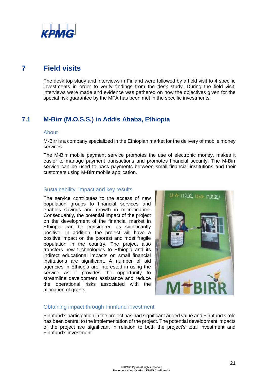

# **7 Field visits**

The desk top study and interviews in Finland were followed by a field visit to 4 specific investments in order to verify findings from the desk study. During the field visit, interviews were made and evidence was gathered on how the objectives given for the special risk guarantee by the MFA has been met in the specific investments.

# **7.1 M-Birr (M.O.S.S.) in Addis Ababa, Ethiopia**

#### About

M-Birr is a company specialized in the Ethiopian market for the delivery of mobile money services.

The M-Birr mobile payment service promotes the use of electronic money, makes it easier to manage payment transactions and promotes financial security. The M-Birr service can be used to pass payments between small financial institutions and their customers using M-Birr mobile application.

#### Sustainability, impact and key results

The service contributes to the access of new population groups to financial services and enables savings and growth in microfinance. Consequently, the potential impact of the project on the development of the financial market in Ethiopia can be considered as significantly positive. In addition, the project will have a positive impact on the poorest and most fragile population in the country. The project also transfers new technologies to Ethiopia and its indirect educational impacts on small financial institutions are significant. A number of aid agencies in Ethiopia are interested in using the service as it provides the opportunity to streamline development assistance and reduce the operational risks associated with the allocation of grants.



#### Obtaining impact through Finnfund investment

Finnfund's participation in the project has had significant added value and Finnfund's role has been central to the implementation of the project. The potential development impacts of the project are significant in relation to both the project's total investment and Finnfund's investment.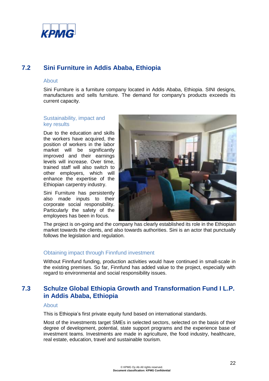

# **7.2 Sini Furniture in Addis Ababa, Ethiopia**

#### About

Sini Furniture is a furniture company located in Addis Ababa, Ethiopia. SINI designs, manufactures and sells furniture. The demand for company's products exceeds its current capacity.

#### Sustainability, impact and key results

Due to the education and skills the workers have acquired, the position of workers in the labor market will be significantly improved and their earnings levels will increase. Over time, trained staff will also switch to other employers, which will enhance the expertise of the Ethiopian carpentry industry.

Sini Furniture has persistently also made inputs to their corporate social responsibility. Particularly the safety of the employees has been in focus.



The project is on-going and the company has clearly established its role in the Ethiopian market towards the clients, and also towards authorities. Sini is an actor that punctually follows the legislation and regulation.

#### Obtaining impact through Finnfund investment

Without Finnfund funding, production activities would have continued in small-scale in the existing premises. So far, Finnfund has added value to the project, especially with regard to environmental and social responsibility issues.

# **7.3 Schulze Global Ethiopia Growth and Transformation Fund I L.P. in Addis Ababa, Ethiopia**

#### About

This is Ethiopia's first private equity fund based on international standards.

Most of the investments target SMEs in selected sectors, selected on the basis of their degree of development, potential, state support programs and the experience base of investment teams. Investments are made in agriculture, the food industry, healthcare, real estate, education, travel and sustainable tourism.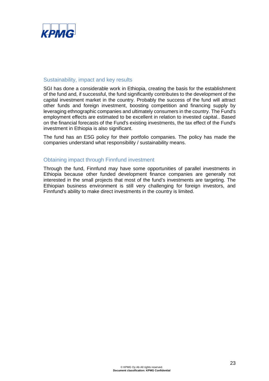

#### Sustainability, impact and key results

SGI has done a considerable work in Ethiopia, creating the basis for the establishment of the fund and, if successful, the fund significantly contributes to the development of the capital investment market in the country. Probably the success of the fund will attract other funds and foreign investment, boosting competition and financing supply by leveraging ethnographic companies and ultimately consumers in the country. The Fund's employment effects are estimated to be excellent in relation to invested capital.. Based on the financial forecasts of the Fund's existing investments, the tax effect of the Fund's investment in Ethiopia is also significant.

The fund has an ESG policy for their portfolio companies. The policy has made the companies understand what responsibility / sustainability means.

#### Obtaining impact through Finnfund investment

Through the fund, Finnfund may have some opportunities of parallel investments in Ethiopia because other funded development finance companies are generally not interested in the small projects that most of the fund's investments are targeting. The Ethiopian business environment is still very challenging for foreign investors, and Finnfund's ability to make direct investments in the country is limited.